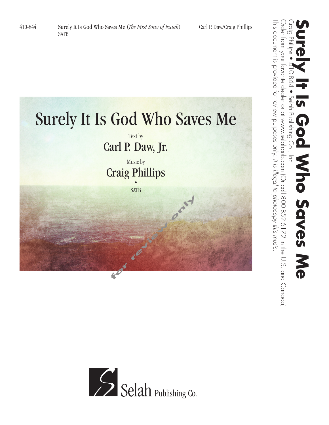



Order from your favorite dealer or at www.selahpub.com (Or call 800-852-6172 in the U.S. and Canada)

*It is illegal to photocopy this music.*

This document is provided for review purposes only.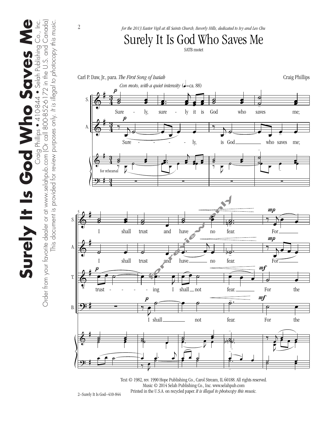

Text © 1982, rev. 1990 Hope Publishing Co., Carol Stream, IL 60188. All rights reserved. Music © 2014 Selah Publishing Co., Inc. www.selahpub.com Printed in the U.S.A. on recycled paper. *It is illegal to photocopy this music.* 

2–Surely It Is God–410-844

Surely It Is God Who Saves Me Craig Phillips • 410-844 • Selah Publishing Co., Inc.<br>com (Or call 800-852-6172 in the U.S. and Canada) Surely It Is God Who Saves

Order from your favorite dealer or at www.selahpub.com (Or call 800-852-6172 in the U.S. and Canada)

Order from your favorite dealer or at www.selahpub.com [Or call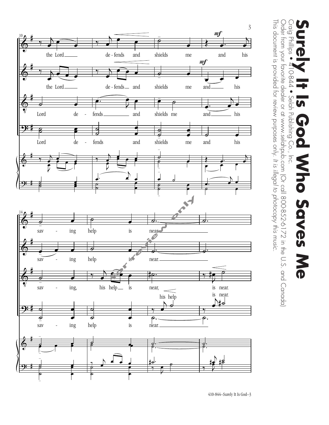



Order from your favorite dealer or at www.selahpub.com (Or call 800-852-6172 in the U.S. and Canada)

Order from your favorite dealer or at www.selahpub.com (Or call 800-852-6172 in the U.S. and Canada)

*It is illegal to photocopy this music.*

This document is provided for review purposes only.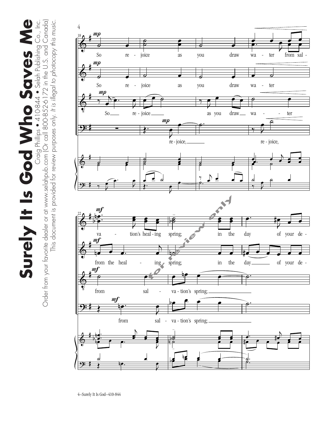Surely It Is God Who Saves Me  $\bf \Phi$ ● Craig Philips ● 410-844 ● Selah Publishing Co., Inc.<br>Order from your favorite dealer or at www.selahpub.com (Or call 800-852-6172 in the U.S. and Canada) Order from your favorite dealer or at www.selahpub.com (Or call 800-852-6172 in the U.S. and Canada) Surely It Is God Who Saves M

This document is provided for review purposes only. *It is illegal to photocopy this music.*

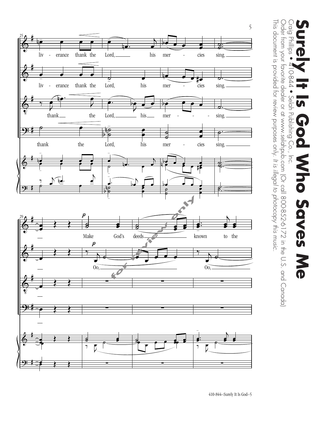

## Craig Phillips<br>Craig Phillips **Surely It Is God Who Saves Me** D **D-844** · Selah Publishing Co.,  $\overline{u}$ ho Saves<br>Me

Order from your favorite dealer or at www.selahpub.com (Or call 800-852-6172 in the U.S. and Canada)

Order from your favorite dealer or at www.selahpub.com (Or call 800-852-6172 in the U.S. and Canada)

*It is illegal to photocopy this music.*

This document is provided for review purposes only.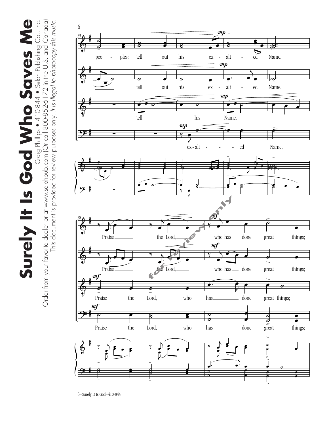$\bf \Phi$ Surely It Is God Who Saves Me ● Selah Publishing Co., Inc.<br>Order from your favorite dealer or at www.selahpub.com (Or call 800-852-6172 in the U.S. and Canada) Surely It Is God Who Saves M

Order from your favorite dealer or at www.selahpub.com (Or call 800-852-6172 in the U.S. and Canada)

This document is provided for review purposes only. *It is illegal to photocopy this music.*

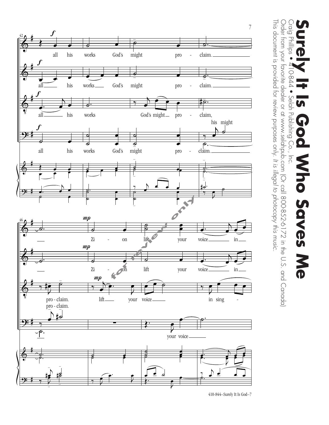

410-844–Surely It Is God–7

## Craig Phillips **Surely It Is God Who Saves Me D-844** • Selah Publishing Co.,  $\overline{5}$ ho Saves<br>Me

Order from your favorite dealer or at www.selahpub.com (Or call 800-852-6172 in the U.S. and Canada)

Order from your favorite dealer or at www.selahpub.com (Or call 800-852-6172 in the U.S. and Canada)

*It is illegal to photocopy this music.*

This document is provided for review purposes only.